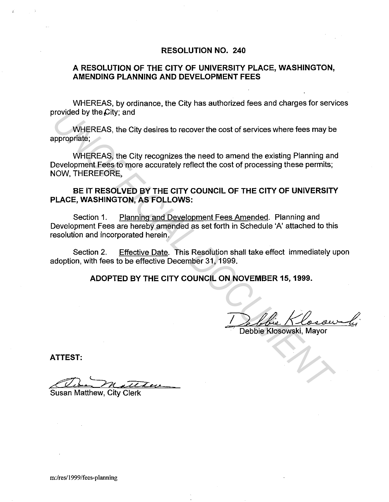#### **RESOLUTION NO. 240**

### **A RESOLUTION OF THE CITY OF UNIVERSITY PLACE, WASHINGTON, AMENDING PLANNING AND DEVELOPMENT FEES**

WHEREAS, by ordinance, the City has authorized fees and charges for services provided by the City; and

WHEREAS, the City desires to recover the cost of services where fees may be appropriate;

WHEREAS, the City recognizes the need to amend the existing Planning and Development Fees to more accurately reflect the cost of processing these permits; NOW, THEREFORE, **UNIFICEAS, the City desires to recover the cost of services where fees may be appropriate;**<br>
WHEREAS, the City recognizes the need to amend the existing Planning and<br>
Development Fees to more accurately reflect the cost o

### **BE IT RESOLVED BY THE CITY COUNCIL OF THE CITY OF UNIVERSITY PLACE, WASHINGTON, AS FOLLOWS:**

Section 1. Planning and Development Fees Amended. Planning and Development Fees are hereby amended as set forth in Schedule 'A' attached to this resolution and incorporated herein.

Section 2. Effective Date. This Resolution shall take effect immediately upon adoption, with fees to be effective December 31, 1999.

**ADOPTED BY THE CITY COUNCIL ON NOVEMBER 15, 1999.** 

-

Debbie Klosowski, Mayor

**ATTEST:** 

Susan Matthew, City Clerk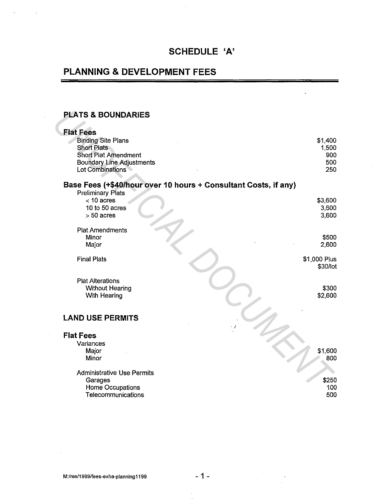### **SCHEDULE 'A'**

# **PLANNING & DEVELOPMENT FEES**

#### **PLATS & BOUNDARIES**

#### **Flat Fees**  Binding Site Plans Short Plats Short Plat Amendment Boundary Line Adjustments Lot Combinations **Base Fees (+\$40/hour over 10 hours + Consultant Costs, if any)**  Preliminary Plats  $<$  10 acres 10 to 50 acres > 50 acres Plat Amendments Minor Major Final Plats Plat Alterations Without Hearing With Hearing **LAND USE PERMITS Flat Fees**  Variances Major Minor Administrative Use Permits Garages Home Occupations \$1,400 1,500 900 500 250 \$3,600 3,600 3,600 \$500 2,600 \$1,000 Plus \$30/lot \$300 \$2,600 \$1,600 800 \$250 100 **PLATS & BOUNDARIES**<br>
Flat Fees<br>
Singing Ste Pians<br>
Short Plats<br>
Short Plats<br>
Short Plats<br>
Short Plats<br>
Excess (+54A0/hour over 10 hours + Consultant Costs, if any)<br>
Preliminary Plats<br>
C-10 acres<br>
- 50 acres<br>
- 50 acres<br>
P

**Telecommunications** 

500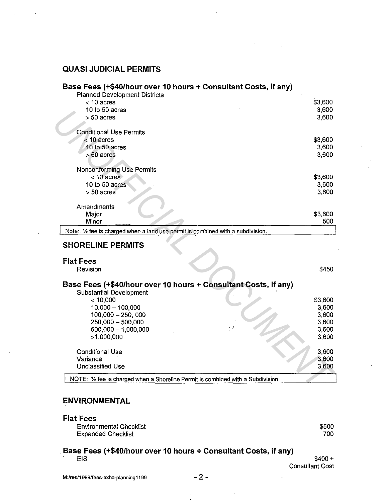## **QUASI JUDICIAL PERMITS**

### **Base Fees (+\$40/hour over 10 hours+ Consultant Costs, if any)**

| <b>Planned Development Districts</b><br>$<$ 10 acres                              | \$3,600 |
|-----------------------------------------------------------------------------------|---------|
| 10 to 50 acres                                                                    | 3,600   |
| $> 50$ acres                                                                      | 3,600   |
|                                                                                   |         |
| <b>Conditional Use Permits</b>                                                    |         |
| $<$ 10 acres                                                                      | \$3,600 |
| 10 to 50 acres                                                                    | 3,600   |
| $> 50$ acres                                                                      | 3,600   |
|                                                                                   |         |
| Nonconforming Use Permits                                                         |         |
| $< 10$ acres                                                                      | \$3,600 |
| 10 to 50 acres                                                                    | 3,600   |
| $> 50$ acres                                                                      | 3,600   |
|                                                                                   |         |
| Amendments                                                                        |         |
| Major                                                                             | \$3,600 |
| Minor                                                                             | 500     |
| Note: - 1/2 fee is charged when a land use permit is combined with a subdivision. |         |
|                                                                                   |         |
|                                                                                   |         |
| <b>SHORELINE PERMITS</b>                                                          |         |
|                                                                                   |         |
| <b>Flat Fees</b>                                                                  |         |
| Revision                                                                          | \$450   |
|                                                                                   |         |
| Base Fees (+\$40/hour over 10 hours + Consultant Costs, if any)                   |         |
| <b>Substantial Development</b>                                                    |         |
| < 10,000                                                                          | \$3,600 |
| $10,000 - 100,000$                                                                | 3,600   |
| 100,000 - 250,000                                                                 | 3,600   |
| 250,000 - 500,000                                                                 | 3,600   |
| $500,000 - 1,000,000$                                                             | 3,600   |
| >1,000,000                                                                        | 3,600   |
|                                                                                   |         |
| <b>Conditional Use</b>                                                            | 3,600   |
| Variance                                                                          | 3,600   |
| <b>Unclassified Use</b>                                                           | 3,600   |
| NOTE: 1/2 fee is charged when a Shoreline Permit is combined with a Subdivision   |         |

#### **SHORELINE PERMITS**

### **Flat Fees**

| Revision                                                                                  |  | \$450   |  |
|-------------------------------------------------------------------------------------------|--|---------|--|
| Base Fees (+\$40/hour over 10 hours + Consultant Costs, if any)                           |  |         |  |
| <b>Substantial Development</b>                                                            |  |         |  |
| $<$ 10,000                                                                                |  | \$3,600 |  |
| $10,000 - 100,000$                                                                        |  | 3,600   |  |
| $100,000 - 250,000$                                                                       |  | 3,600   |  |
| 250,000 - 500,000                                                                         |  | 3,600   |  |
| $500,000 - 1,000,000$                                                                     |  | 3,600   |  |
| >1,000,000                                                                                |  | 3,600   |  |
| <b>Conditional Use</b>                                                                    |  | 3,600   |  |
| Variance                                                                                  |  | 3,600   |  |
| Unclassified Use                                                                          |  | 3,600   |  |
| NOTE: $\frac{1}{2}$ fee is charged when a Shoreline Permit is combined with a Subdivision |  |         |  |

### **ENVIRONMENTAL**

#### **Flat Fees**

| Environmental Checklist |  |
|-------------------------|--|
| Expanded Checklist      |  |

\$500 700

#### . **Base Fees (+\$40/hour over 10 hours+ Consultant Costs, if any)**   $EIS$  \$400 +

Consultant Cost